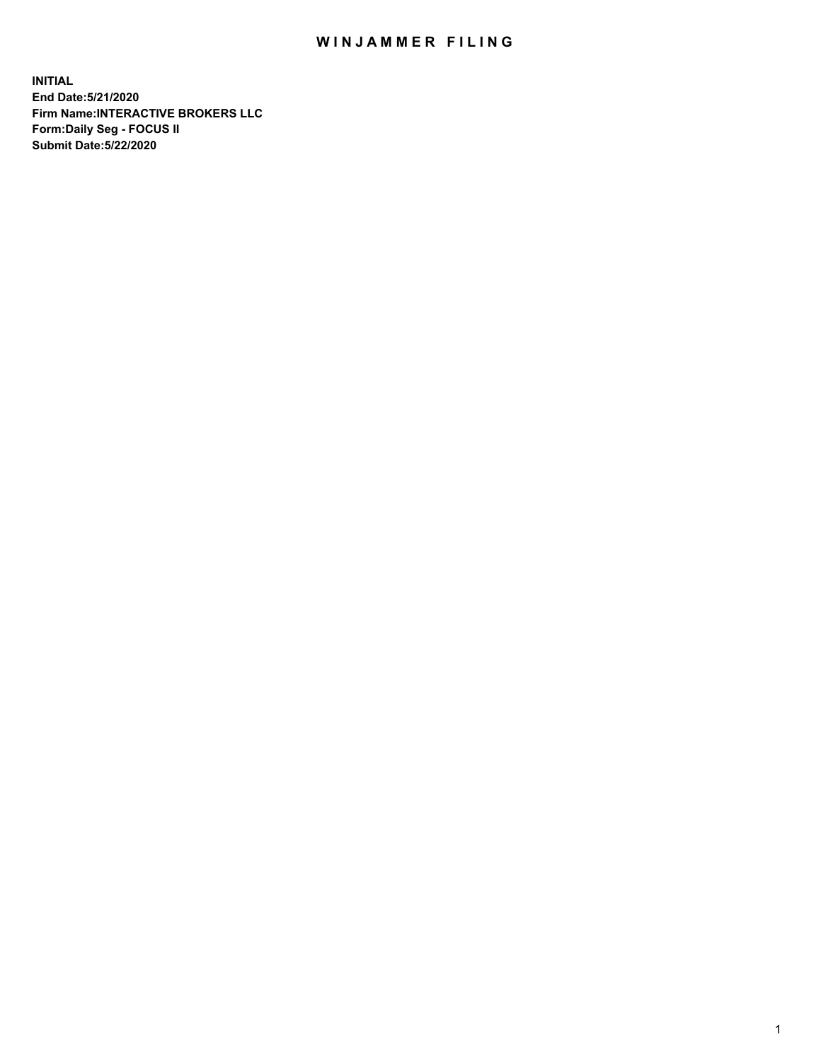## WIN JAMMER FILING

**INITIAL End Date:5/21/2020 Firm Name:INTERACTIVE BROKERS LLC Form:Daily Seg - FOCUS II Submit Date:5/22/2020**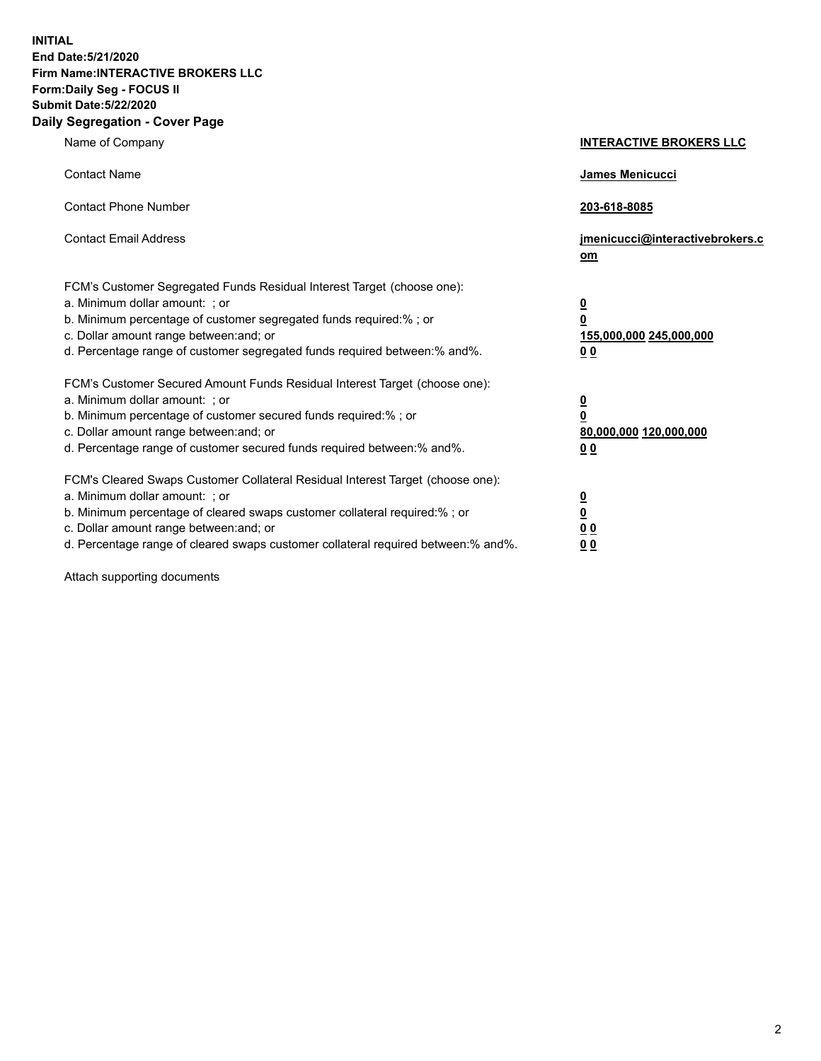**INITIAL End Date:5/21/2020 Firm Name:INTERACTIVE BROKERS LLC Form:Daily Seg - FOCUS II Submit Date:5/22/2020 Daily Segregation - Cover Page**

| Name of Company                                                                                                                                                                                                                                                                                                               | <b>INTERACTIVE BROKERS LLC</b>                                                   |  |
|-------------------------------------------------------------------------------------------------------------------------------------------------------------------------------------------------------------------------------------------------------------------------------------------------------------------------------|----------------------------------------------------------------------------------|--|
| <b>Contact Name</b>                                                                                                                                                                                                                                                                                                           | James Menicucci                                                                  |  |
| <b>Contact Phone Number</b>                                                                                                                                                                                                                                                                                                   | 203-618-8085                                                                     |  |
| <b>Contact Email Address</b>                                                                                                                                                                                                                                                                                                  | jmenicucci@interactivebrokers.c<br>om                                            |  |
| FCM's Customer Segregated Funds Residual Interest Target (choose one):<br>a. Minimum dollar amount: ; or<br>b. Minimum percentage of customer segregated funds required:% ; or<br>c. Dollar amount range between: and; or<br>d. Percentage range of customer segregated funds required between:% and%.                        | <u>0</u><br>$\overline{\mathbf{0}}$<br>155,000,000 245,000,000<br>0 <sub>0</sub> |  |
| FCM's Customer Secured Amount Funds Residual Interest Target (choose one):<br>a. Minimum dollar amount: ; or<br>b. Minimum percentage of customer secured funds required:%; or<br>c. Dollar amount range between: and; or<br>d. Percentage range of customer secured funds required between:% and%.                           | <u>0</u><br>$\overline{\mathbf{0}}$<br>80,000,000 120,000,000<br>0 <sub>0</sub>  |  |
| FCM's Cleared Swaps Customer Collateral Residual Interest Target (choose one):<br>a. Minimum dollar amount: ; or<br>b. Minimum percentage of cleared swaps customer collateral required:%; or<br>c. Dollar amount range between: and; or<br>d. Percentage range of cleared swaps customer collateral required between:% and%. | <u>0</u><br>$\underline{\mathbf{0}}$<br>0 <sub>0</sub><br>0 <sub>0</sub>         |  |

Attach supporting documents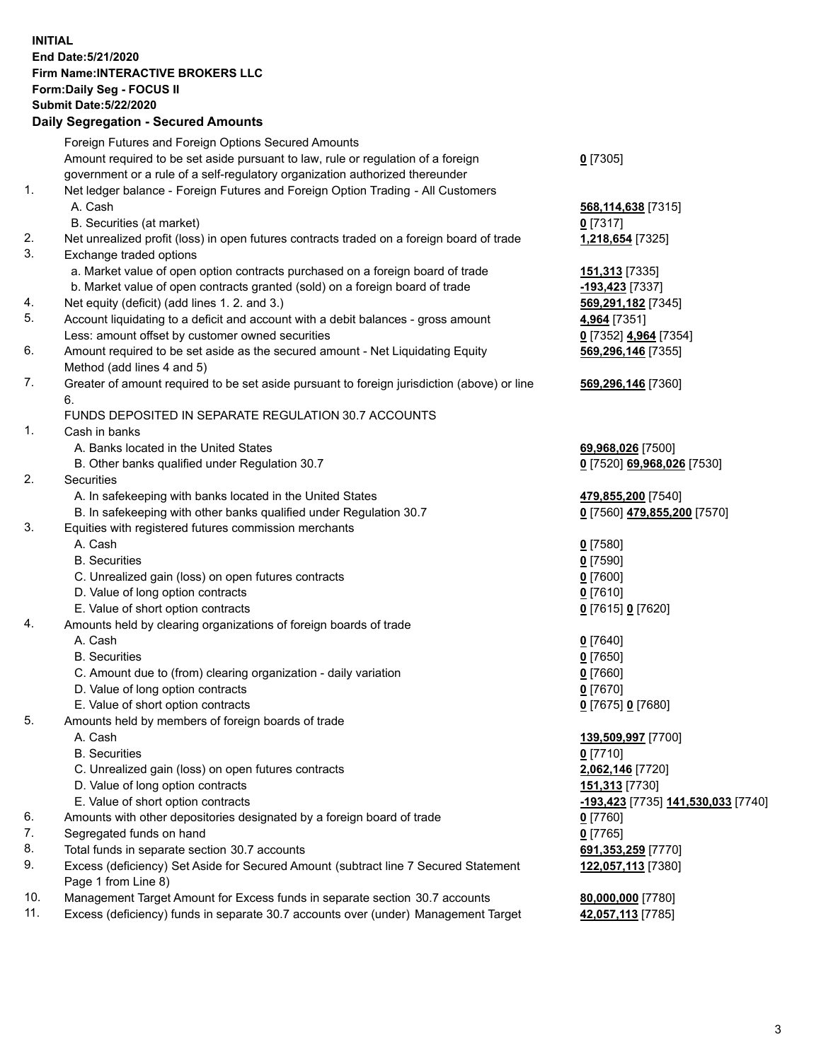**INITIAL End Date:5/21/2020 Firm Name:INTERACTIVE BROKERS LLC Form:Daily Seg - FOCUS II Submit Date:5/22/2020 Daily Segregation - Secured Amounts**

## Foreign Futures and Foreign Options Secured Amounts Amount required to be set aside pursuant to law, rule or regulation of a foreign government or a rule of a self-regulatory organization authorized thereunder **0** [7305] 1. Net ledger balance - Foreign Futures and Foreign Option Trading - All Customers A. Cash **568,114,638** [7315] B. Securities (at market) **0** [7317] 2. Net unrealized profit (loss) in open futures contracts traded on a foreign board of trade **1,218,654** [7325] 3. Exchange traded options a. Market value of open option contracts purchased on a foreign board of trade **151,313** [7335] b. Market value of open contracts granted (sold) on a foreign board of trade **-193,423** [7337] 4. Net equity (deficit) (add lines 1. 2. and 3.) **569,291,182** [7345] 5. Account liquidating to a deficit and account with a debit balances - gross amount **4,964** [7351] Less: amount offset by customer owned securities **0** [7352] **4,964** [7354] 6. Amount required to be set aside as the secured amount - Net Liquidating Equity Method (add lines 4 and 5) **569,296,146** [7355] 7. Greater of amount required to be set aside pursuant to foreign jurisdiction (above) or line 6. **569,296,146** [7360] FUNDS DEPOSITED IN SEPARATE REGULATION 30.7 ACCOUNTS 1. Cash in banks A. Banks located in the United States **69,968,026** [7500] B. Other banks qualified under Regulation 30.7 **0** [7520] **69,968,026** [7530] 2. Securities A. In safekeeping with banks located in the United States **479,855,200** [7540] B. In safekeeping with other banks qualified under Regulation 30.7 **0** [7560] **479,855,200** [7570] 3. Equities with registered futures commission merchants A. Cash **0** [7580] B. Securities **0** [7590] C. Unrealized gain (loss) on open futures contracts **0** [7600] D. Value of long option contracts **0** [7610] E. Value of short option contracts **0** [7615] **0** [7620] 4. Amounts held by clearing organizations of foreign boards of trade A. Cash **0** [7640] B. Securities **0** [7650] C. Amount due to (from) clearing organization - daily variation **0** [7660] D. Value of long option contracts **0** [7670] E. Value of short option contracts **0** [7675] **0** [7680] 5. Amounts held by members of foreign boards of trade A. Cash **139,509,997** [7700] B. Securities **0** [7710] C. Unrealized gain (loss) on open futures contracts **2,062,146** [7720] D. Value of long option contracts **151,313** [7730] E. Value of short option contracts **-193,423** [7735] **141,530,033** [7740] 6. Amounts with other depositories designated by a foreign board of trade **0** [7760] 7. Segregated funds on hand **0** [7765] 8. Total funds in separate section 30.7 accounts **691,353,259** [7770] 9. Excess (deficiency) Set Aside for Secured Amount (subtract line 7 Secured Statement Page 1 from Line 8) **122,057,113** [7380] 10. Management Target Amount for Excess funds in separate section 30.7 accounts **80,000,000** [7780] 11. Excess (deficiency) funds in separate 30.7 accounts over (under) Management Target **42,057,113** [7785]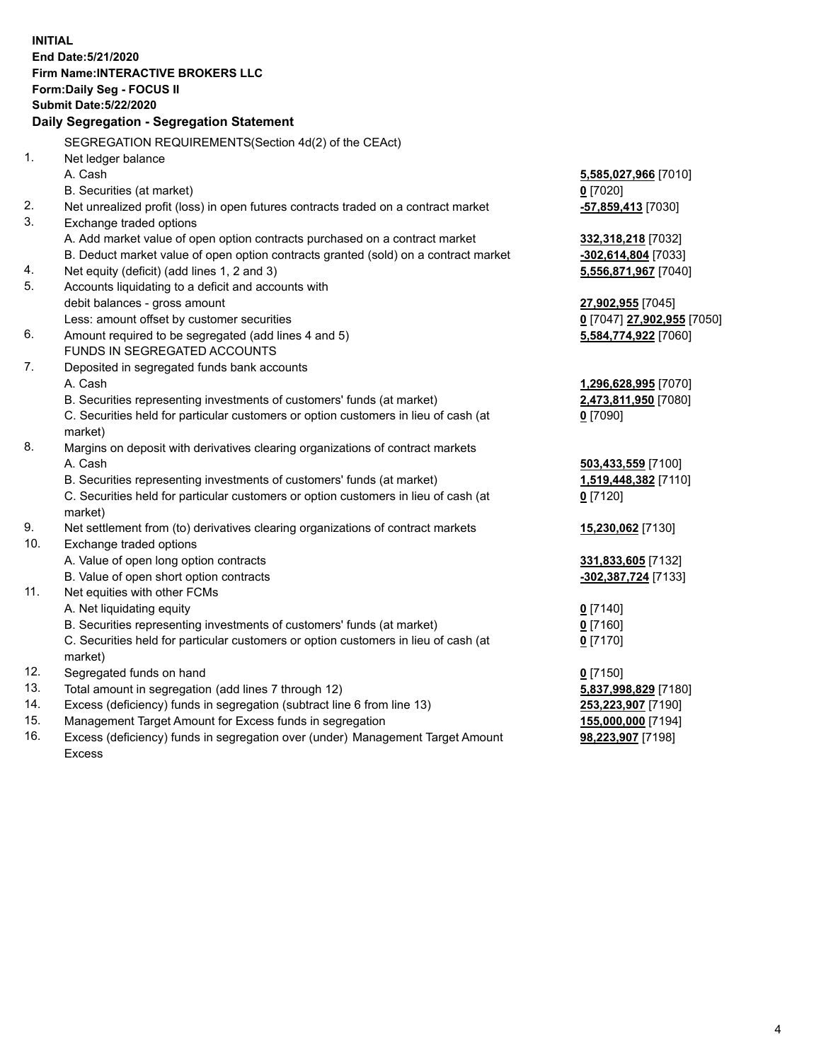**INITIAL End Date:5/21/2020 Firm Name:INTERACTIVE BROKERS LLC Form:Daily Seg - FOCUS II Submit Date:5/22/2020 Daily Segregation - Segregation Statement** SEGREGATION REQUIREMENTS(Section 4d(2) of the CEAct) 1. Net ledger balance A. Cash **5,585,027,966** [7010] B. Securities (at market) **0** [7020] 2. Net unrealized profit (loss) in open futures contracts traded on a contract market **-57,859,413** [7030] 3. Exchange traded options A. Add market value of open option contracts purchased on a contract market **332,318,218** [7032] B. Deduct market value of open option contracts granted (sold) on a contract market **-302,614,804** [7033] 4. Net equity (deficit) (add lines 1, 2 and 3) **5,556,871,967** [7040] 5. Accounts liquidating to a deficit and accounts with debit balances - gross amount **27,902,955** [7045] Less: amount offset by customer securities **0** [7047] **27,902,955** [7050] 6. Amount required to be segregated (add lines 4 and 5) **5,584,774,922** [7060] FUNDS IN SEGREGATED ACCOUNTS 7. Deposited in segregated funds bank accounts A. Cash **1,296,628,995** [7070] B. Securities representing investments of customers' funds (at market) **2,473,811,950** [7080] C. Securities held for particular customers or option customers in lieu of cash (at market) **0** [7090] 8. Margins on deposit with derivatives clearing organizations of contract markets A. Cash **503,433,559** [7100] B. Securities representing investments of customers' funds (at market) **1,519,448,382** [7110] C. Securities held for particular customers or option customers in lieu of cash (at market) **0** [7120] 9. Net settlement from (to) derivatives clearing organizations of contract markets **15,230,062** [7130] 10. Exchange traded options A. Value of open long option contracts **331,833,605** [7132] B. Value of open short option contracts **-302,387,724** [7133] 11. Net equities with other FCMs A. Net liquidating equity **0** [7140] B. Securities representing investments of customers' funds (at market) **0** [7160] C. Securities held for particular customers or option customers in lieu of cash (at market) **0** [7170] 12. Segregated funds on hand **0** [7150] 13. Total amount in segregation (add lines 7 through 12) **5,837,998,829** [7180] 14. Excess (deficiency) funds in segregation (subtract line 6 from line 13) **253,223,907** [7190] 15. Management Target Amount for Excess funds in segregation **155,000,000** [7194] 16. Excess (deficiency) funds in segregation over (under) Management Target Amount **98,223,907** [7198]

Excess